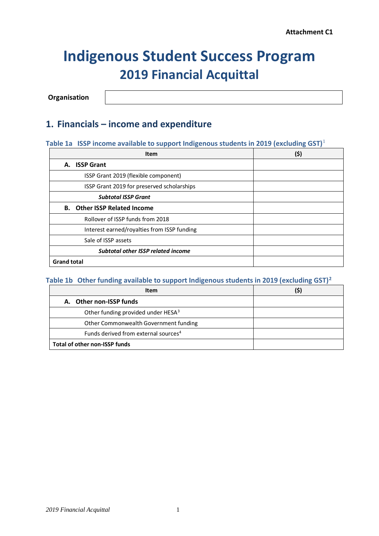# **Indigenous Student Success Program 2019 Financial Acquittal**

**Organisation**

### **1. Financials – income and expenditure**

### **Table 1a ISSP income available to support Indigenous students in 2019 (excluding GST)**[1](#page-4-0)

| <b>Item</b>                                 | (\$) |
|---------------------------------------------|------|
| A. ISSP Grant                               |      |
| ISSP Grant 2019 (flexible component)        |      |
| ISSP Grant 2019 for preserved scholarships  |      |
| <b>Subtotal ISSP Grant</b>                  |      |
| <b>B.</b> Other ISSP Related Income         |      |
| Rollover of ISSP funds from 2018            |      |
| Interest earned/royalties from ISSP funding |      |
| Sale of ISSP assets                         |      |
| <b>Subtotal other ISSP related income</b>   |      |
| <b>Grand total</b>                          |      |

### **Table 1b Other funding available to support Indigenous students in 2019 (excluding GST)[2](#page-4-1)**

| <b>Item</b>                                      | (\$) |
|--------------------------------------------------|------|
| A. Other non-ISSP funds                          |      |
| Other funding provided under HESA <sup>3</sup>   |      |
| Other Commonwealth Government funding            |      |
| Funds derived from external sources <sup>4</sup> |      |
| Total of other non-ISSP funds                    |      |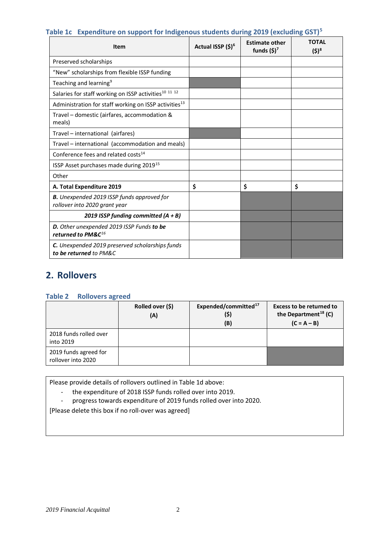| $\frac{1}{2}$ . Experience on support for margerious stauding and politicianing son f<br>Item | Actual ISSP (\$) <sup>6</sup> | <b>Estimate other</b><br>funds $(\$)^7$ | <b>TOTAL</b><br>$(5)^8$ |
|-----------------------------------------------------------------------------------------------|-------------------------------|-----------------------------------------|-------------------------|
| Preserved scholarships                                                                        |                               |                                         |                         |
| "New" scholarships from flexible ISSP funding                                                 |                               |                                         |                         |
| Teaching and learning <sup>9</sup>                                                            |                               |                                         |                         |
| Salaries for staff working on ISSP activities <sup>10</sup> <sup>11</sup> <sup>12</sup>       |                               |                                         |                         |
| Administration for staff working on ISSP activities <sup>13</sup>                             |                               |                                         |                         |
| Travel - domestic (airfares, accommodation &<br>meals)                                        |                               |                                         |                         |
| Travel - international (airfares)                                                             |                               |                                         |                         |
| Travel - international (accommodation and meals)                                              |                               |                                         |                         |
| Conference fees and related costs <sup>14</sup>                                               |                               |                                         |                         |
| ISSP Asset purchases made during 2019 <sup>15</sup>                                           |                               |                                         |                         |
| Other                                                                                         |                               |                                         |                         |
| A. Total Expenditure 2019                                                                     | \$                            | \$                                      | \$                      |
| <b>B.</b> Unexpended 2019 ISSP funds approved for<br>rollover into 2020 grant year            |                               |                                         |                         |
| 2019 ISSP funding committed $(A + B)$                                                         |                               |                                         |                         |
| D. Other unexpended 2019 ISSP Funds to be<br>returned to PM&C <sup>16</sup>                   |                               |                                         |                         |
| C. Unexpended 2019 preserved scholarships funds<br>to be returned to PM&C                     |                               |                                         |                         |

### **Table 1c Expenditure on support for Indigenous students during 2019 (excluding GST)[5](#page-4-4)**

## **2. Rollovers**

#### **Table 2 Rollovers agreed**

|                                             | Rolled over (\$)<br>(A) | Expended/committed <sup>17</sup><br>(\$)<br>(B) | <b>Excess to be returned to</b><br>the Department <sup>18</sup> (C)<br>$(C = A - B)$ |
|---------------------------------------------|-------------------------|-------------------------------------------------|--------------------------------------------------------------------------------------|
| 2018 funds rolled over<br>into 2019         |                         |                                                 |                                                                                      |
| 2019 funds agreed for<br>rollover into 2020 |                         |                                                 |                                                                                      |

Please provide details of rollovers outlined in Table 1d above:

- the expenditure of 2018 ISSP funds rolled over into 2019.
- progress towards expenditure of 2019 funds rolled over into 2020.

[Please delete this box if no roll-over was agreed]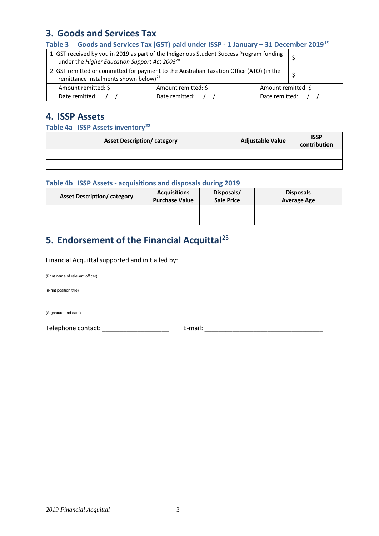### **3. Goods and Services Tax**

#### **Table 3 Goods and Services Tax (GST) paid under ISSP - 1 January – 31 December 2019**[19](#page-4-18)

| 1. GST received by you in 2019 as part of the Indigenous Student Success Program funding<br>under the Higher Education Support Act 2003 <sup>20</sup> |                     |                                       |  |
|-------------------------------------------------------------------------------------------------------------------------------------------------------|---------------------|---------------------------------------|--|
| 2. GST remitted or committed for payment to the Australian Taxation Office (ATO) (in the<br>remittance instalments shown below) <sup>21</sup>         |                     |                                       |  |
| Amount remitted: \$                                                                                                                                   | Amount remitted: \$ | Amount remitted: \$<br>Date remitted: |  |
| Date remitted:                                                                                                                                        | Date remitted:      |                                       |  |

### **4. ISSP Assets**

#### **Table 4a ISSP Assets inventory[22](#page-4-21)**

| <b>Asset Description/category</b> | <b>Adjustable Value</b> | <b>ISSP</b><br>contribution |
|-----------------------------------|-------------------------|-----------------------------|
|                                   |                         |                             |
|                                   |                         |                             |

#### **Table 4b ISSP Assets - acquisitions and disposals during 2019**

| <b>Asset Description/ category</b> | <b>Acquisitions</b><br><b>Purchase Value</b> | Disposals/<br><b>Sale Price</b> | <b>Disposals</b><br><b>Average Age</b> |
|------------------------------------|----------------------------------------------|---------------------------------|----------------------------------------|
|                                    |                                              |                                 |                                        |
|                                    |                                              |                                 |                                        |

# **5. Endorsement of the Financial Acquittal**[23](#page-4-22)

Financial Acquittal supported and initialled by:

(Print name of relevant officer)

(Print position title)

(Signature and date)

Telephone contact: \_\_\_\_\_\_\_\_\_\_\_\_\_\_\_\_\_\_\_ E-mail: \_\_\_\_\_\_\_\_\_\_\_\_\_\_\_\_\_\_\_\_\_\_\_\_\_\_\_\_\_\_\_\_\_\_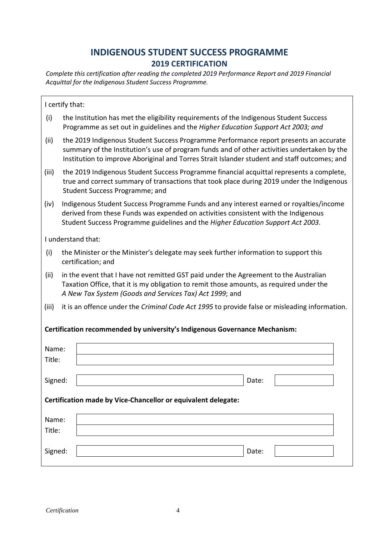# **INDIGENOUS STUDENT SUCCESS PROGRAMME 2019 CERTIFICATION**

*Complete this certification after reading the completed 2019 Performance Report and 2019 Financial Acquittal for the Indigenous Student Success Programme.*

| I certify that:                                                            |                                                                                                                                                                                                                                                                                      |  |  |  |
|----------------------------------------------------------------------------|--------------------------------------------------------------------------------------------------------------------------------------------------------------------------------------------------------------------------------------------------------------------------------------|--|--|--|
| (i)                                                                        | the Institution has met the eligibility requirements of the Indigenous Student Success<br>Programme as set out in guidelines and the Higher Education Support Act 2003; and                                                                                                          |  |  |  |
| (ii)                                                                       | the 2019 Indigenous Student Success Programme Performance report presents an accurate<br>summary of the Institution's use of program funds and of other activities undertaken by the<br>Institution to improve Aboriginal and Torres Strait Islander student and staff outcomes; and |  |  |  |
| (iii)                                                                      | the 2019 Indigenous Student Success Programme financial acquittal represents a complete,<br>true and correct summary of transactions that took place during 2019 under the Indigenous<br>Student Success Programme; and                                                              |  |  |  |
| (iv)                                                                       | Indigenous Student Success Programme Funds and any interest earned or royalties/income<br>derived from these Funds was expended on activities consistent with the Indigenous<br>Student Success Programme guidelines and the Higher Education Support Act 2003.                      |  |  |  |
|                                                                            | I understand that:                                                                                                                                                                                                                                                                   |  |  |  |
| (i)                                                                        | the Minister or the Minister's delegate may seek further information to support this<br>certification; and                                                                                                                                                                           |  |  |  |
| (ii)                                                                       | in the event that I have not remitted GST paid under the Agreement to the Australian<br>Taxation Office, that it is my obligation to remit those amounts, as required under the<br>A New Tax System (Goods and Services Tax) Act 1999; and                                           |  |  |  |
| (iii)                                                                      | it is an offence under the Criminal Code Act 1995 to provide false or misleading information.                                                                                                                                                                                        |  |  |  |
| Certification recommended by university's Indigenous Governance Mechanism: |                                                                                                                                                                                                                                                                                      |  |  |  |
| Name:                                                                      |                                                                                                                                                                                                                                                                                      |  |  |  |
| Title:                                                                     |                                                                                                                                                                                                                                                                                      |  |  |  |
| Signed:                                                                    | Date:                                                                                                                                                                                                                                                                                |  |  |  |
| Certification made by Vice-Chancellor or equivalent delegate:              |                                                                                                                                                                                                                                                                                      |  |  |  |
| Name:                                                                      |                                                                                                                                                                                                                                                                                      |  |  |  |
| Title:                                                                     |                                                                                                                                                                                                                                                                                      |  |  |  |
| Signed:                                                                    | Date:                                                                                                                                                                                                                                                                                |  |  |  |

 $\overline{\phantom{a}}$